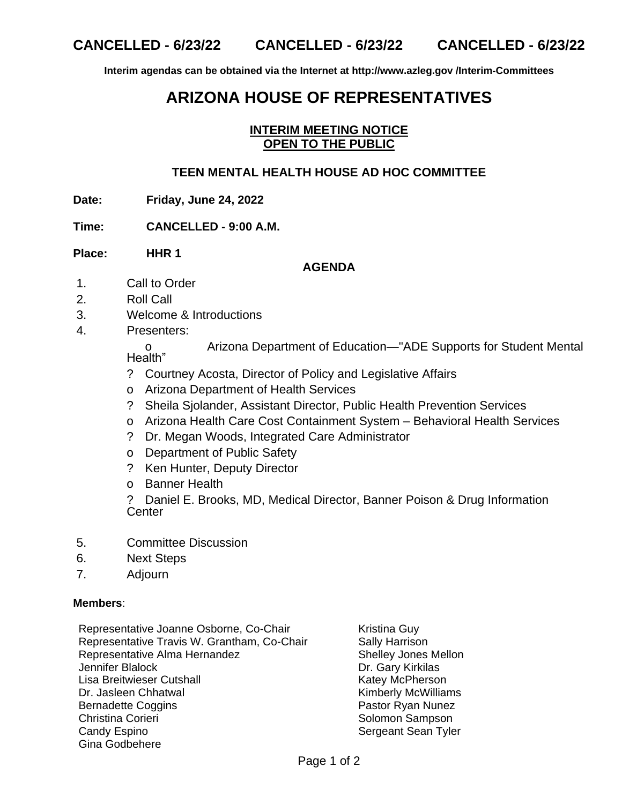**Interim agendas can be obtained via the Internet at http://www.azleg.gov /Interim-Committees**

# **ARIZONA HOUSE OF REPRESENTATIVES**

#### **INTERIM MEETING NOTICE OPEN TO THE PUBLIC**

### **TEEN MENTAL HEALTH HOUSE AD HOC COMMITTEE**

**Date: Friday, June 24, 2022**

**Time: CANCELLED - 9:00 A.M.**

**Place: HHR 1**

## **AGENDA**

- 1. Call to Order
- 2. Roll Call
- 3. Welcome & Introductions
- 4. Presenters:

o Arizona Department of Education—"ADE Supports for Student Mental Health"

- ? Courtney Acosta, Director of Policy and Legislative Affairs
- o Arizona Department of Health Services
- ? Sheila Sjolander, Assistant Director, Public Health Prevention Services
- o Arizona Health Care Cost Containment System Behavioral Health Services
- ? Dr. Megan Woods, Integrated Care Administrator
- o Department of Public Safety
- ? Ken Hunter, Deputy Director
- o Banner Health

? Daniel E. Brooks, MD, Medical Director, Banner Poison & Drug Information **Center** 

- 5. Committee Discussion
- 6. Next Steps
- 7. Adjourn

#### **Members**:

- Representative Joanne Osborne, Co-Chair Kristina Guy Representative Travis W. Grantham, Co-Chair Sally Harrison Representative Alma Hernandez Shelley Jones Mellon Jennifer Blalock Dr. Gary Kirkilas Lisa Breitwieser Cutshall **Katey McPherson** Katey McPherson Dr. Jasleen Chhatwal **Kimberly McWilliams** Bernadette Coggins **Pastor Ryan Nunez** Christina Corieri **Solomon Sampson** Solomon Sampson Candy Espino Sergeant Sean Tyler Gina Godbehere
	-